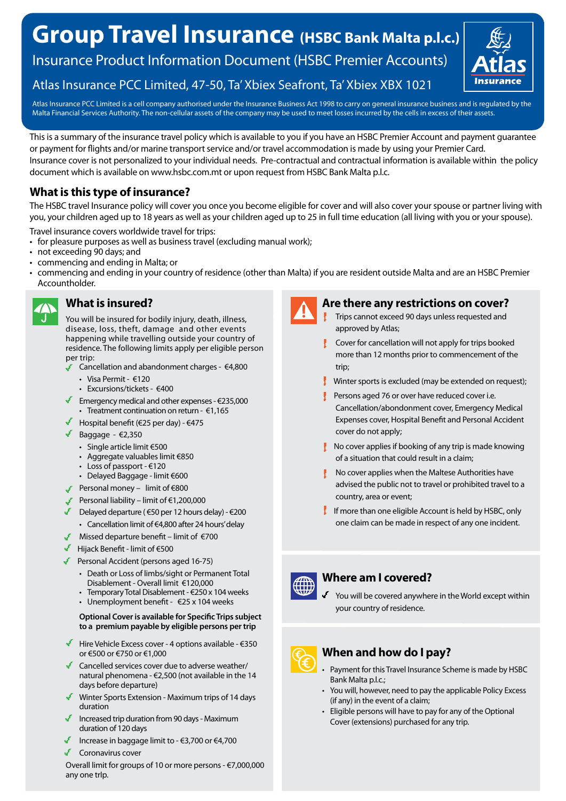# **Group Travel Insurance (HSBC Bank Malta p.l.c.)**

Insurance Product Information Document (HSBC Premier Accounts)



Atlas Insurance PCC Limited, 47-50, Ta' Xbiex Seafront, Ta' Xbiex XBX 1021

Atlas Insurance PCC Limited is a cell company authorised under the Insurance Business Act 1998 to carry on general insurance business and is regulated by the Malta Financial Services Authority. The non-cellular assets of the company may be used to meet losses incurred by the cells in excess of their assets.

This is a summary of the insurance travel policy which is available to you if you have an HSBC Premier Account and payment guarantee or payment for flights and/or marine transport service and/or travel accommodation is made by using your Premier Card. Insurance cover is not personalized to your individual needs. Pre-contractual and contractual information is available within the policy document which is available on www.hsbc.com.mt or upon request from HSBC Bank Malta p.l.c.

## **What is this type of insurance?**

The HSBC travel Insurance policy will cover you once you become eligible for cover and will also cover your spouse or partner living with you, your children aged up to 18 years as well as your children aged up to 25 in full time education (all living with you or your spouse).

- Travel insurance covers worldwide travel for trips:
- for pleasure purposes as well as business travel (excluding manual work);
- not exceeding 90 days; and
- commencing and ending in Malta; or
- commencing and ending in your country of residence (other than Malta) if you are resident outside Malta and are an HSBC Premier Accountholder.



### **What is insured?**

You will be insured for bodily injury, death, illness, disease, loss, theft, damage and other events happening while travelling outside your country of residence. The following limits apply per eligible person per trip:

- Cancellation and abandonment charges €4,800
	- Visa Permit €120
	- Excursions/tickets €400
- Emergency medical and other expenses  $\epsilon$ 235,000 • Treatment continuation on return - €1,165
- Hospital benefit ( $\epsilon$ 25 per day)  $\epsilon$ 475
- Baggage  $\epsilon$ 2,350
	- Single article limit €500
	- Aggregate valuables limit €850
	- Loss of passport €120
	- Delayed Baggage limit €600
- Personal money limit of  $€800$
- Personal liability limit of €1,200,000
- Delayed departure ( $650$  per 12 hours delay)  $6200$ 
	- Cancellation limit of €4,800 after 24 hours' delay
- Missed departure benefit limit of  $\epsilon$ 700
- Hijack Benefit limit of €500
- Personal Accident (persons aged 16-75)
	- Death or Loss of limbs/sight or Permanent Total Disablement - Overall limit €120,000
	- Temporary Total Disablement €250 x 104 weeks • Unemployment benefit - €25 x 104 weeks

### **Optional Cover is available for Specific Trips subject to a premium payable by eligible persons per trip**

- Hire Vehicle Excess cover 4 options available  $€350$ or €500 or €750 or €1,000
- Cancelled services cover due to adverse weather/ natural phenomena - €2,500 (not available in the 14 days before departure)
- Winter Sports Extension Maximum trips of 14 days duration
- Increased trip duration from 90 days Maximum duration of 120 days
- Increase in baggage limit to €3,700 or €4,700
- Coronavirus cover

Overall limit for groups of 10 or more persons - €7,000,000 any one trIp.



### **Are there any restrictions on cover?**

- Trips cannot exceed 90 days unless requested and approved by Atlas;
- Cover for cancellation will not apply for trips booked more than 12 months prior to commencement of the trip;
- $\mathbf{I}$  Winter sports is excluded (may be extended on request);
- Persons aged 76 or over have reduced cover i.e. Cancellation/abondonment cover, Emergency Medical Expenses cover, Hospital Benefit and Personal Accident cover do not apply;
- $\mathbf{R}$  No cover applies if booking of any trip is made knowing of a situation that could result in a claim;
- $\mathbf{R}$  No cover applies when the Maltese Authorities have advised the public not to travel or prohibited travel to a country, area or event;
- I If more than one eligible Account is held by HSBC, only one claim can be made in respect of any one incident.



### **Where am I covered?**

You will be covered anywhere in the World except within your country of residence.

- **When and how do I pay?**
- Payment for this Travel Insurance Scheme is made by HSBC Bank Malta p.l.c.;
- You will, however, need to pay the applicable Policy Excess (if any) in the event of a claim;
- Eligible persons will have to pay for any of the Optional Cover (extensions) purchased for any trip.